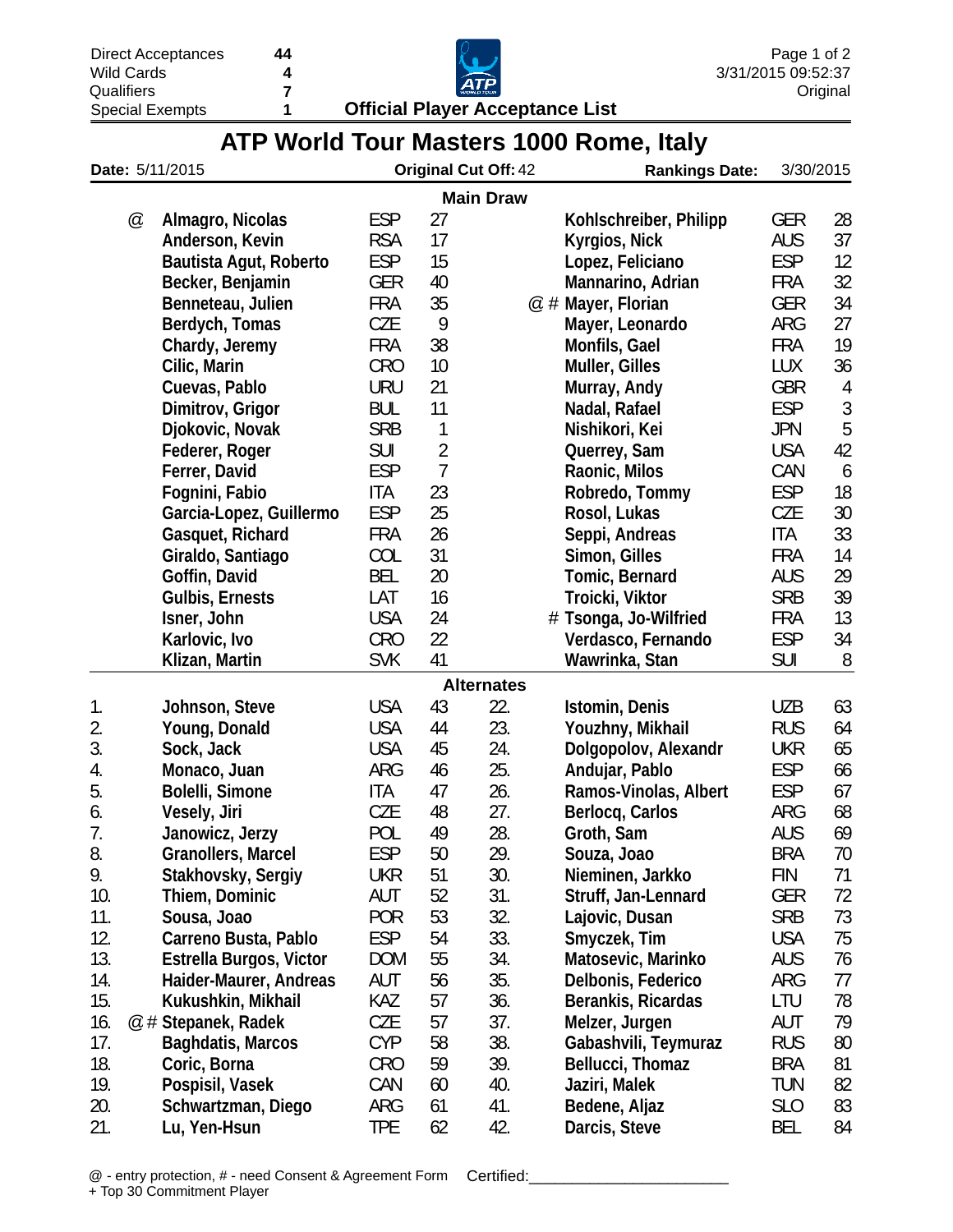| eptances |  |
|----------|--|
| s        |  |
|          |  |

**7 4 44**

**Qualifiers** Special Exempts

**1 Official Player Acceptance List**



|  | ATP World Tour Masters 1000 Rome, Italy |  |  |
|--|-----------------------------------------|--|--|
|  |                                         |  |  |

|     |   | Date: 5/11/2015         |            |                | <b>Original Cut Off: 42</b> | <b>Rankings Date:</b>  |            | 3/30/2015  |
|-----|---|-------------------------|------------|----------------|-----------------------------|------------------------|------------|------------|
|     |   |                         |            |                | <b>Main Draw</b>            |                        |            |            |
|     | @ | Almagro, Nicolas        | <b>ESP</b> | 27             |                             | Kohlschreiber, Philipp | <b>GER</b> | 28         |
|     |   | Anderson, Kevin         | <b>RSA</b> | 17             |                             | Kyrgios, Nick          | <b>AUS</b> | 37         |
|     |   | Bautista Agut, Roberto  | <b>ESP</b> | 15             |                             | Lopez, Feliciano       | <b>ESP</b> | 12         |
|     |   | Becker, Benjamin        | <b>GER</b> | 40             |                             | Mannarino, Adrian      | <b>FRA</b> | 32         |
|     |   | Benneteau, Julien       | <b>FRA</b> | 35             |                             | $@$ # Mayer, Florian   | <b>GER</b> | 34         |
|     |   | Berdych, Tomas          | <b>CZE</b> | 9              |                             | Mayer, Leonardo        | ARG        | 27         |
|     |   | Chardy, Jeremy          | <b>FRA</b> | 38             |                             | Monfils, Gael          | <b>FRA</b> | 19         |
|     |   | Cilic, Marin            | <b>CRO</b> | 10             |                             | Muller, Gilles         | <b>LUX</b> | 36         |
|     |   | Cuevas, Pablo           | <b>URU</b> | 21             |                             | Murray, Andy           | <b>GBR</b> | 4          |
|     |   | Dimitrov, Grigor        | <b>BUL</b> | 11             |                             | Nadal, Rafael          | <b>ESP</b> | $\sqrt{3}$ |
|     |   | Djokovic, Novak         | <b>SRB</b> | 1              |                             | Nishikori, Kei         | <b>JPN</b> | 5          |
|     |   | Federer, Roger          | <b>SUI</b> | $\overline{2}$ |                             | Querrey, Sam           | <b>USA</b> | 42         |
|     |   | Ferrer, David           | <b>ESP</b> | 7              |                             | Raonic, Milos          | CAN        | 6          |
|     |   | Fognini, Fabio          | <b>ITA</b> | 23             |                             | Robredo, Tommy         | <b>ESP</b> | 18         |
|     |   | Garcia-Lopez, Guillermo | <b>ESP</b> | 25             |                             | Rosol, Lukas           | CZE        | 30         |
|     |   | Gasquet, Richard        | <b>FRA</b> | 26             |                             | Seppi, Andreas         | <b>ITA</b> | 33         |
|     |   | Giraldo, Santiago       | COL        | 31             |                             | Simon, Gilles          | <b>FRA</b> | 14         |
|     |   | Goffin, David           | <b>BEL</b> | 20             |                             | Tomic, Bernard         | <b>AUS</b> | 29         |
|     |   | <b>Gulbis, Ernests</b>  | LAT        | 16             |                             | Troicki, Viktor        | <b>SRB</b> | 39         |
|     |   | Isner, John             | <b>USA</b> | 24             |                             | # Tsonga, Jo-Wilfried  | <b>FRA</b> | 13         |
|     |   | Karlovic, Ivo           | <b>CRO</b> | 22             |                             | Verdasco, Fernando     | <b>ESP</b> | 34         |
|     |   | Klizan, Martin          | <b>SVK</b> | 41             |                             | Wawrinka, Stan         | <b>SUI</b> | 8          |
|     |   |                         |            |                | <b>Alternates</b>           |                        |            |            |
| 1.  |   | Johnson, Steve          | <b>USA</b> | 43             | 22.                         | Istomin, Denis         | <b>UZB</b> | 63         |
| 2.  |   | Young, Donald           | <b>USA</b> | 44             | 23.                         | Youzhny, Mikhail       | <b>RUS</b> | 64         |
| 3.  |   | Sock, Jack              | <b>USA</b> | 45             | 24.                         | Dolgopolov, Alexandr   | <b>UKR</b> | 65         |
| 4.  |   | Monaco, Juan            | ARG        | 46             | 25.                         | Andujar, Pablo         | <b>ESP</b> | 66         |
| 5.  |   | Bolelli, Simone         | <b>ITA</b> | 47             | 26.                         | Ramos-Vinolas, Albert  | <b>ESP</b> | 67         |
| 6.  |   | Vesely, Jiri            | <b>CZE</b> | 48             | 27.                         | Berlocq, Carlos        | ARG        | 68         |
| 7.  |   | Janowicz, Jerzy         | POL        | 49             | 28.                         | Groth, Sam             | <b>AUS</b> | 69         |
| 8.  |   | Granollers, Marcel      | ESP        | 50             | 29.                         | Souza, Joao            | BRA        | 70         |
| 9.  |   | Stakhovsky, Sergiy      | <b>UKR</b> | 51             | 30.                         | Nieminen, Jarkko       | <b>FIN</b> | 71         |
| 10. |   | Thiem, Dominic          | AUT        | 52             | 31.                         | Struff, Jan-Lennard    | <b>GER</b> | 72         |
| 11. |   | Sousa, Joao             | <b>POR</b> | 53             | 32.                         | Lajovic, Dusan         | <b>SRB</b> | 73         |
| 12. |   | Carreno Busta, Pablo    | <b>ESP</b> | 54             | 33.                         | Smyczek, Tim           | <b>USA</b> | 75         |
| 13. |   | Estrella Burgos, Victor | <b>DOM</b> | 55             | 34.                         | Matosevic, Marinko     | <b>AUS</b> | 76         |
| 14. |   | Haider-Maurer, Andreas  | AUT        | 56             | 35.                         | Delbonis, Federico     | ARG        | 77         |
| 15. |   | Kukushkin, Mikhail      | KAZ        | 57             | 36.                         | Berankis, Ricardas     | LTU        | 78         |
| 16. |   | @ # Stepanek, Radek     | CZE        | 57             | 37.                         | Melzer, Jurgen         | AUT        | 79         |
| 17. |   | Baghdatis, Marcos       | <b>CYP</b> | 58             | 38.                         | Gabashvili, Teymuraz   | <b>RUS</b> | 80         |
| 18. |   | Coric, Borna            | <b>CRO</b> | 59             | 39.                         | Bellucci, Thomaz       | <b>BRA</b> | 81         |
| 19. |   | Pospisil, Vasek         | CAN        | 60             | 40.                         | Jaziri, Malek          | <b>TUN</b> | 82         |
| 20. |   | Schwartzman, Diego      | ARG        | 61             | 41.                         | Bedene, Aljaz          | <b>SLO</b> | 83         |
| 21. |   | Lu, Yen-Hsun            | <b>TPE</b> | 62             | 42.                         | Darcis, Steve          | BEL        | 84         |